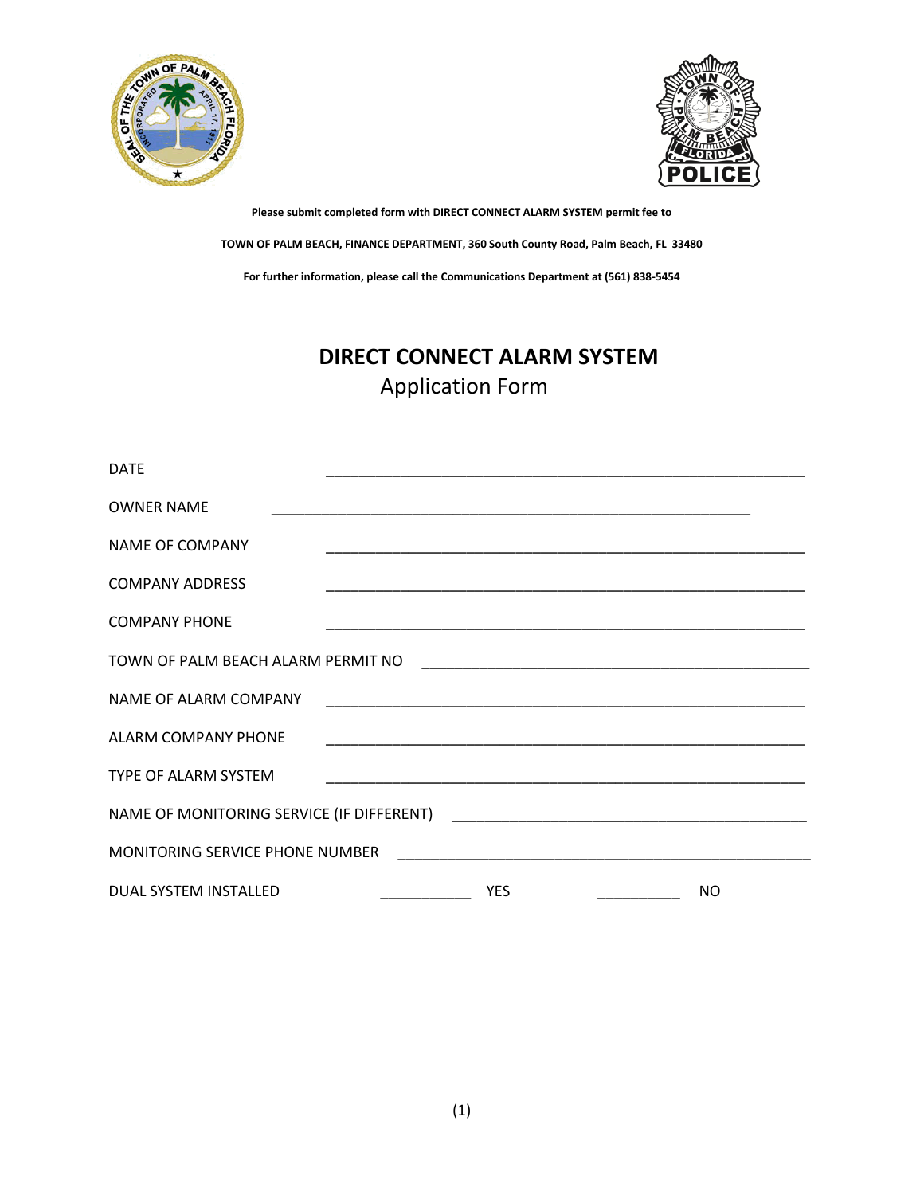



# **DIRECT CONNECT ALARM SYSTEM** Application Form

| <b>DATE</b>                        |  |            | <u> 1980 - Jan James James James James James James James James James James James James James James James James</u>    |     |
|------------------------------------|--|------------|-----------------------------------------------------------------------------------------------------------------------|-----|
| <b>OWNER NAME</b>                  |  |            |                                                                                                                       |     |
| <b>NAME OF COMPANY</b>             |  |            | <u> 1989 - Johann Stoff, deutscher Stoff, der Stoff, der Stoff, der Stoff, der Stoff, der Stoff, der Stoff, der S</u> |     |
| <b>COMPANY ADDRESS</b>             |  |            |                                                                                                                       |     |
| <b>COMPANY PHONE</b>               |  |            |                                                                                                                       |     |
| TOWN OF PALM BEACH ALARM PERMIT NO |  |            |                                                                                                                       |     |
| NAME OF ALARM COMPANY              |  |            |                                                                                                                       |     |
| <b>ALARM COMPANY PHONE</b>         |  |            |                                                                                                                       |     |
| <b>TYPE OF ALARM SYSTEM</b>        |  |            | <u> 1989 - Johann Stoff, amerikansk politiker (d. 1989)</u>                                                           |     |
|                                    |  |            |                                                                                                                       |     |
| MONITORING SERVICE PHONE NUMBER    |  |            |                                                                                                                       |     |
| DUAL SYSTEM INSTALLED              |  | <b>YES</b> | <u> 1986 - Jan Store Barnett, amerikansk politiker (</u>                                                              | NO. |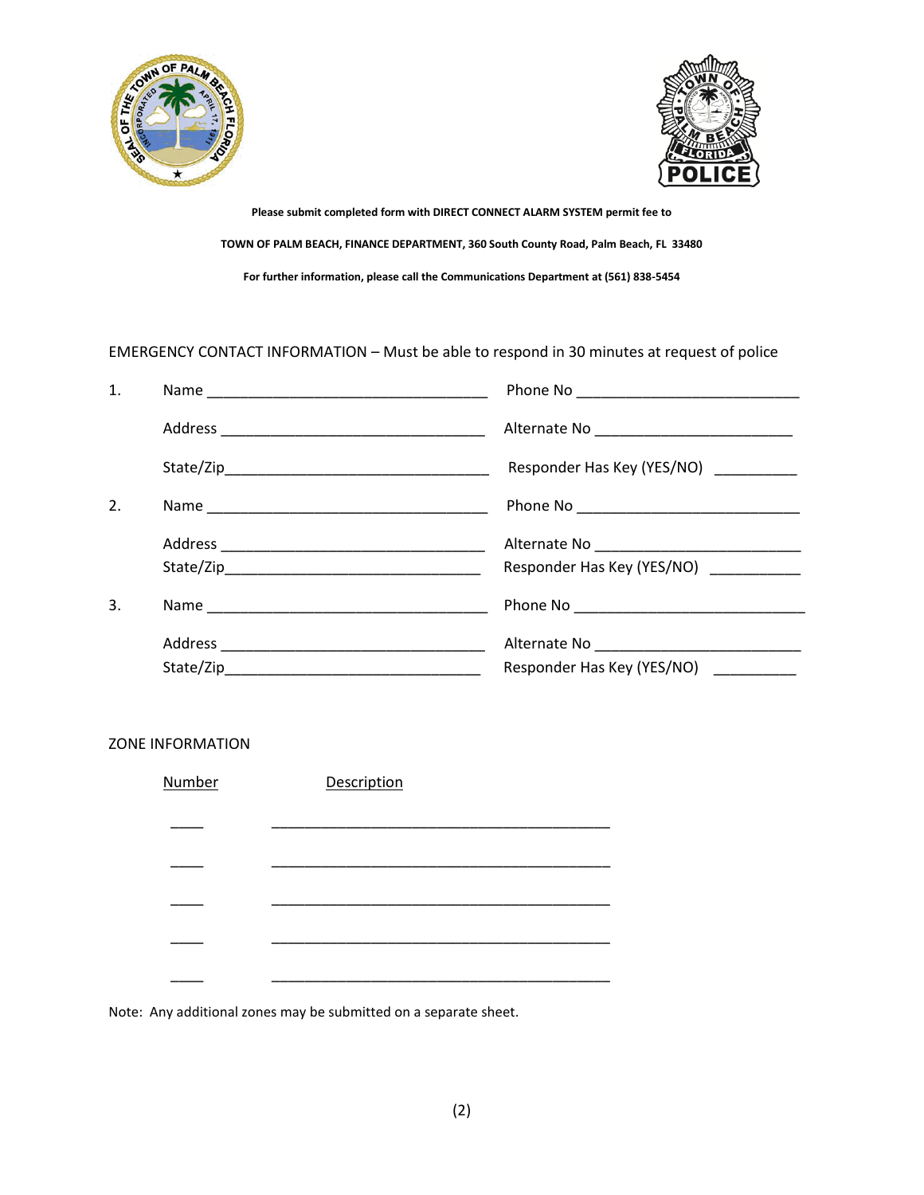



### EMERGENCY CONTACT INFORMATION – Must be able to respond in 30 minutes at request of police

| 1. |                                       |
|----|---------------------------------------|
|    |                                       |
|    | Responder Has Key (YES/NO) _________  |
| 2. |                                       |
|    |                                       |
|    | Responder Has Key (YES/NO) __________ |
| 3. |                                       |
|    |                                       |
|    | Responder Has Key (YES/NO)            |

### ZONE INFORMATION

| Number | Description |  |
|--------|-------------|--|
|        |             |  |
|        |             |  |
|        |             |  |
|        |             |  |
|        |             |  |

Note: Any additional zones may be submitted on a separate sheet.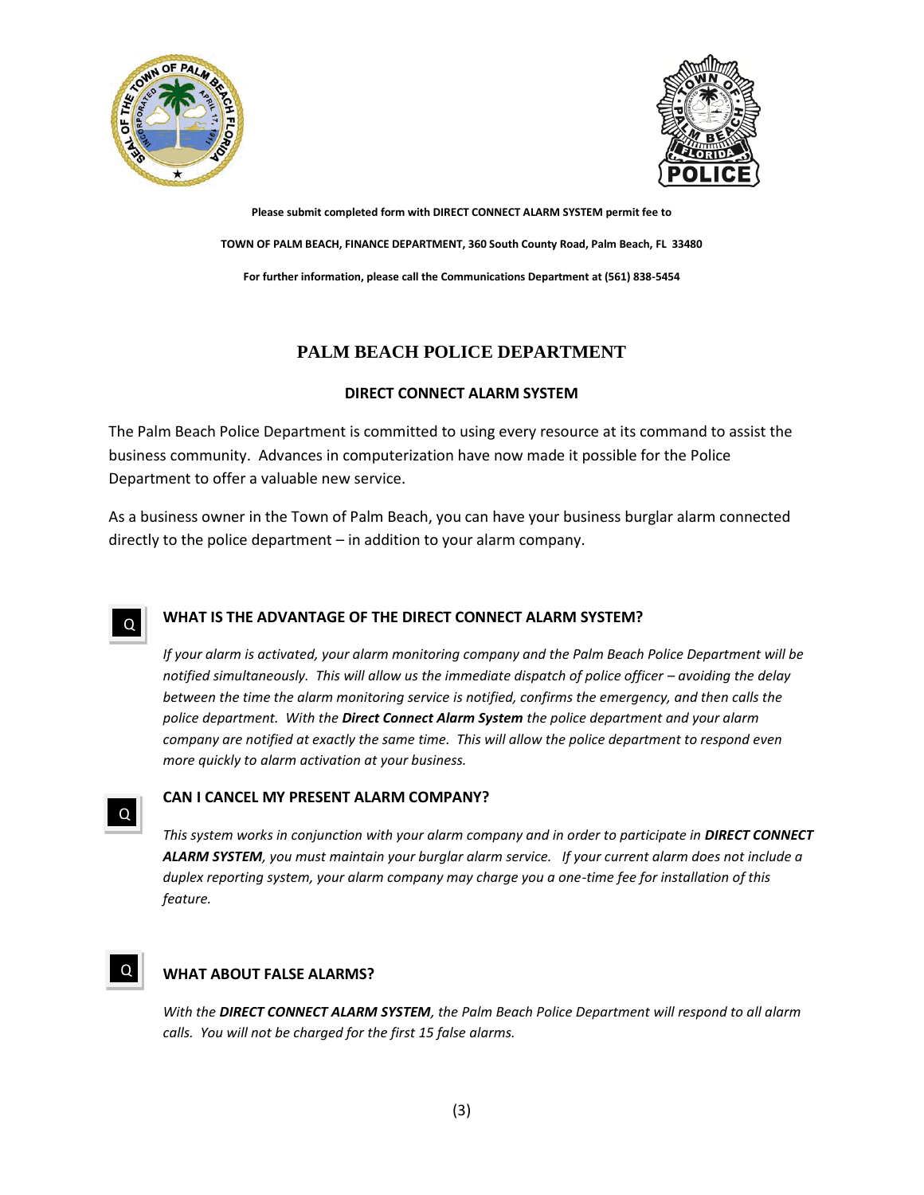



## **PALM BEACH POLICE DEPARTMENT**

### **DIRECT CONNECT ALARM SYSTEM**

The Palm Beach Police Department is committed to using every resource at its command to assist the business community. Advances in computerization have now made it possible for the Police Department to offer a valuable new service.

As a business owner in the Town of Palm Beach, you can have your business burglar alarm connected directly to the police department – in addition to your alarm company.

#### **WHAT IS THE ADVANTAGE OF THE DIRECT CONNECT ALARM SYSTEM?** Q

*If your alarm is activated, your alarm monitoring company and the Palm Beach Police Department will be notified simultaneously. This will allow us the immediate dispatch of police officer – avoiding the delay between the time the alarm monitoring service is notified, confirms the emergency, and then calls the police department. With the Direct Connect Alarm System the police department and your alarm company are notified at exactly the same time. This will allow the police department to respond even more quickly to alarm activation at your business.*

### **CAN I CANCEL MY PRESENT ALARM COMPANY?**

*This system works in conjunction with your alarm company and in order to participate in DIRECT CONNECT ALARM SYSTEM, you must maintain your burglar alarm service. If your current alarm does not include a duplex reporting system, your alarm company may charge you a one-time fee for installation of this feature.*

#### **WHAT ABOUT FALSE ALARMS?** Q

Q

*With the DIRECT CONNECT ALARM SYSTEM, the Palm Beach Police Department will respond to all alarm calls. You will not be charged for the first 15 false alarms.*